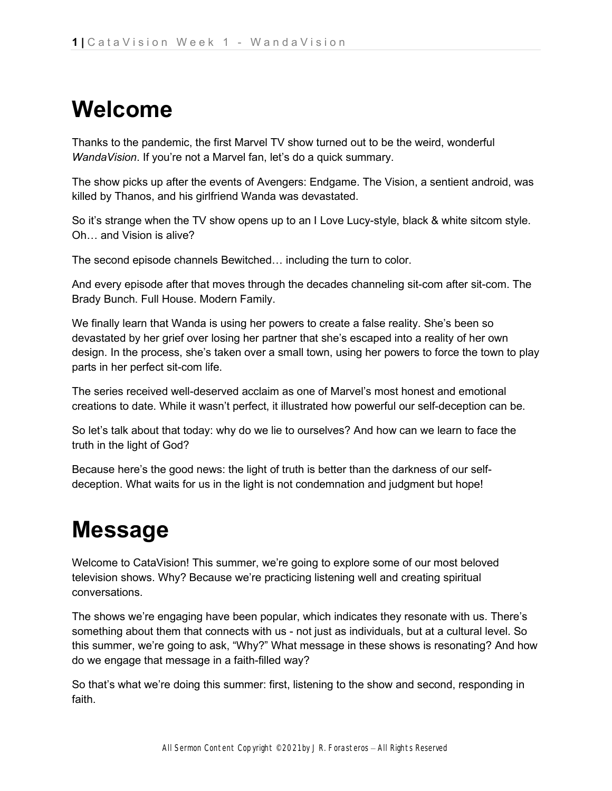## **Welcome**

Thanks to the pandemic, the first Marvel TV show turned out to be the weird, wonderful *WandaVision*. If you're not a Marvel fan, let's do a quick summary.

The show picks up after the events of Avengers: Endgame. The Vision, a sentient android, was killed by Thanos, and his girlfriend Wanda was devastated.

So it's strange when the TV show opens up to an I Love Lucy-style, black & white sitcom style. Oh… and Vision is alive?

The second episode channels Bewitched… including the turn to color.

And every episode after that moves through the decades channeling sit-com after sit-com. The Brady Bunch. Full House. Modern Family.

We finally learn that Wanda is using her powers to create a false reality. She's been so devastated by her grief over losing her partner that she's escaped into a reality of her own design. In the process, she's taken over a small town, using her powers to force the town to play parts in her perfect sit-com life.

The series received well-deserved acclaim as one of Marvel's most honest and emotional creations to date. While it wasn't perfect, it illustrated how powerful our self-deception can be.

So let's talk about that today: why do we lie to ourselves? And how can we learn to face the truth in the light of God?

Because here's the good news: the light of truth is better than the darkness of our selfdeception. What waits for us in the light is not condemnation and judgment but hope!

# **Message**

Welcome to CataVision! This summer, we're going to explore some of our most beloved television shows. Why? Because we're practicing listening well and creating spiritual conversations.

The shows we're engaging have been popular, which indicates they resonate with us. There's something about them that connects with us - not just as individuals, but at a cultural level. So this summer, we're going to ask, "Why?" What message in these shows is resonating? And how do we engage that message in a faith-filled way?

So that's what we're doing this summer: first, listening to the show and second, responding in faith.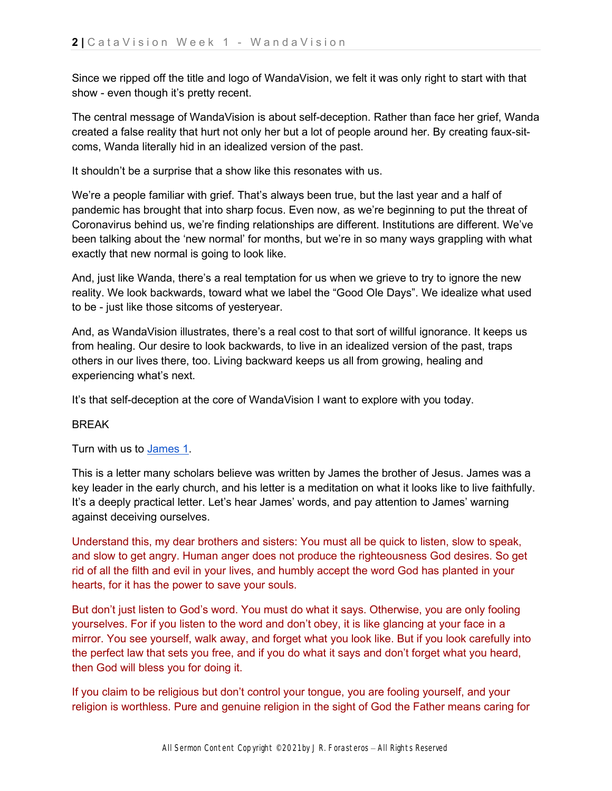Since we ripped off the title and logo of WandaVision, we felt it was only right to start with that show - even though it's pretty recent.

The central message of WandaVision is about self-deception. Rather than face her grief, Wanda created a false reality that hurt not only her but a lot of people around her. By creating faux-sitcoms, Wanda literally hid in an idealized version of the past.

It shouldn't be a surprise that a show like this resonates with us.

We're a people familiar with grief. That's always been true, but the last year and a half of pandemic has brought that into sharp focus. Even now, as we're beginning to put the threat of Coronavirus behind us, we're finding relationships are different. Institutions are different. We've been talking about the 'new normal' for months, but we're in so many ways grappling with what exactly that new normal is going to look like.

And, just like Wanda, there's a real temptation for us when we grieve to try to ignore the new reality. We look backwards, toward what we label the "Good Ole Days". We idealize what used to be - just like those sitcoms of yesteryear.

And, as WandaVision illustrates, there's a real cost to that sort of willful ignorance. It keeps us from healing. Our desire to look backwards, to live in an idealized version of the past, traps others in our lives there, too. Living backward keeps us all from growing, healing and experiencing what's next.

It's that self-deception at the core of WandaVision I want to explore with you today.

### BREAK

Turn with us t[o](https://ref.ly/logosref/bible.80.1) [James 1.](https://ref.ly/logosref/bible.80.1)

This is a letter many scholars believe was written by James the brother of Jesus. James was a key leader in the early church, and his letter is a meditation on what it looks like to live faithfully. It's a deeply practical letter. Let's hear James' words, and pay attention to James' warning against deceiving ourselves.

Understand this, my dear brothers and sisters: You must all be quick to listen, slow to speak, and slow to get angry. Human anger does not produce the righteousness God desires. So get rid of all the filth and evil in your lives, and humbly accept the word God has planted in your hearts, for it has the power to save your souls.

But don't just listen to God's word. You must do what it says. Otherwise, you are only fooling yourselves. For if you listen to the word and don't obey, it is like glancing at your face in a mirror. You see yourself, walk away, and forget what you look like. But if you look carefully into the perfect law that sets you free, and if you do what it says and don't forget what you heard, then God will bless you for doing it.

If you claim to be religious but don't control your tongue, you are fooling yourself, and your religion is worthless. Pure and genuine religion in the sight of God the Father means caring for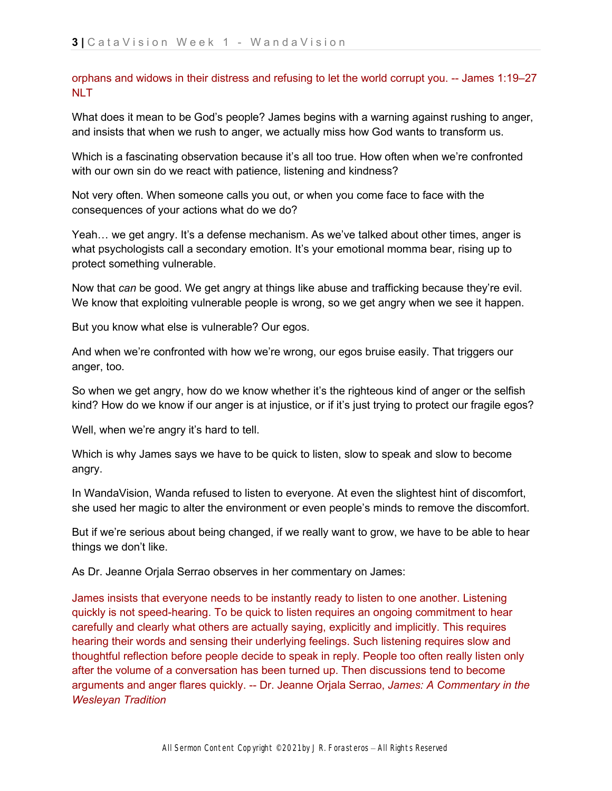orphans and widows in their distress and refusing to let the world corrupt you. -- James 1:19–27 **NLT** 

What does it mean to be God's people? James begins with a warning against rushing to anger, and insists that when we rush to anger, we actually miss how God wants to transform us.

Which is a fascinating observation because it's all too true. How often when we're confronted with our own sin do we react with patience, listening and kindness?

Not very often. When someone calls you out, or when you come face to face with the consequences of your actions what do we do?

Yeah… we get angry. It's a defense mechanism. As we've talked about other times, anger is what psychologists call a secondary emotion. It's your emotional momma bear, rising up to protect something vulnerable.

Now that *can* be good. We get angry at things like abuse and trafficking because they're evil. We know that exploiting vulnerable people is wrong, so we get angry when we see it happen.

But you know what else is vulnerable? Our egos.

And when we're confronted with how we're wrong, our egos bruise easily. That triggers our anger, too.

So when we get angry, how do we know whether it's the righteous kind of anger or the selfish kind? How do we know if our anger is at injustice, or if it's just trying to protect our fragile egos?

Well, when we're angry it's hard to tell.

Which is why James says we have to be quick to listen, slow to speak and slow to become angry.

In WandaVision, Wanda refused to listen to everyone. At even the slightest hint of discomfort, she used her magic to alter the environment or even people's minds to remove the discomfort.

But if we're serious about being changed, if we really want to grow, we have to be able to hear things we don't like.

As Dr. Jeanne Orjala Serrao observes in her commentary on James:

James insists that everyone needs to be instantly ready to listen to one another. Listening quickly is not speed-hearing. To be quick to listen requires an ongoing commitment to hear carefully and clearly what others are actually saying, explicitly and implicitly. This requires hearing their words and sensing their underlying feelings. Such listening requires slow and thoughtful reflection before people decide to speak in reply. People too often really listen only after the volume of a conversation has been turned up. Then discussions tend to become arguments and anger flares quickly. -- Dr. Jeanne Orjala Serrao, *[James: A Commentary in the](https://ref.ly/logosres/LLS:NBBC80JAM;pos=Article$3DCOMM.2.2.2.2$7CArticleLength$3D9832$7CContext$3D$2520English.$250aJames$2520insi$7COffset$3D1701$7COffsetInContext$3D10$7CResource$3DLLS:NBBC80JAM$7CVersion$3D2011-07-20T21:18:09Z)  [Wesleyan Tradition](https://ref.ly/logosres/LLS:NBBC80JAM;pos=Article$3DCOMM.2.2.2.2$7CArticleLength$3D9832$7CContext$3D$2520English.$250aJames$2520insi$7COffset$3D1701$7COffsetInContext$3D10$7CResource$3DLLS:NBBC80JAM$7CVersion$3D2011-07-20T21:18:09Z)*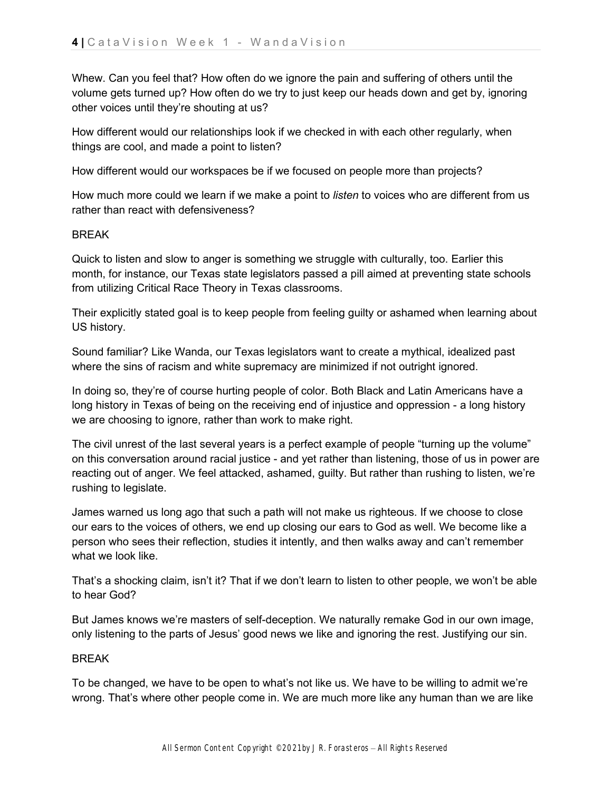Whew. Can you feel that? How often do we ignore the pain and suffering of others until the volume gets turned up? How often do we try to just keep our heads down and get by, ignoring other voices until they're shouting at us?

How different would our relationships look if we checked in with each other regularly, when things are cool, and made a point to listen?

How different would our workspaces be if we focused on people more than projects?

How much more could we learn if we make a point to *listen* to voices who are different from us rather than react with defensiveness?

#### **BRFAK**

Quick to listen and slow to anger is something we struggle with culturally, too. Earlier this month, for instance, our Texas state legislators passed a pill aimed at preventing state schools from utilizing Critical Race Theory in Texas classrooms.

Their explicitly stated goal is to keep people from feeling guilty or ashamed when learning about US history.

Sound familiar? Like Wanda, our Texas legislators want to create a mythical, idealized past where the sins of racism and white supremacy are minimized if not outright ignored.

In doing so, they're of course hurting people of color. Both Black and Latin Americans have a long history in Texas of being on the receiving end of injustice and oppression - a long history we are choosing to ignore, rather than work to make right.

The civil unrest of the last several years is a perfect example of people "turning up the volume" on this conversation around racial justice - and yet rather than listening, those of us in power are reacting out of anger. We feel attacked, ashamed, guilty. But rather than rushing to listen, we're rushing to legislate.

James warned us long ago that such a path will not make us righteous. If we choose to close our ears to the voices of others, we end up closing our ears to God as well. We become like a person who sees their reflection, studies it intently, and then walks away and can't remember what we look like.

That's a shocking claim, isn't it? That if we don't learn to listen to other people, we won't be able to hear God?

But James knows we're masters of self-deception. We naturally remake God in our own image, only listening to the parts of Jesus' good news we like and ignoring the rest. Justifying our sin.

#### **BRFAK**

To be changed, we have to be open to what's not like us. We have to be willing to admit we're wrong. That's where other people come in. We are much more like any human than we are like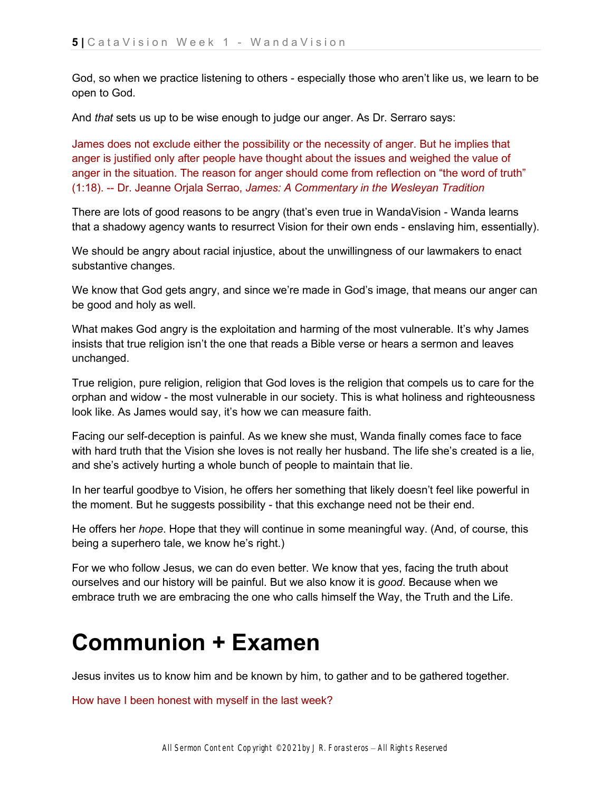God, so when we practice listening to others - especially those who aren't like us, we learn to be open to God.

And *that* sets us up to be wise enough to judge our anger. As Dr. Serraro says:

James does not exclude either the possibility or the necessity of anger. But he implies that anger is justified only after people have thought about the issues and weighed the value of anger in the situation. The reason for anger should come from reflection on "the word of truth" (1:18). -- Dr. Jeanne Orjala Serrao, *[James: A Commentary in the Wesleyan Tradition](https://ref.ly/logosres/LLS:NBBC80JAM;pos=Article$3DCOMM.2.2.2.2$7CArticleLength$3D9832$7CContext$3D$2520English.$250aJames$2520insi$7COffset$3D1701$7COffsetInContext$3D10$7CResource$3DLLS:NBBC80JAM$7CVersion$3D2011-07-20T21:18:09Z)*

There are lots of good reasons to be angry (that's even true in WandaVision - Wanda learns that a shadowy agency wants to resurrect Vision for their own ends - enslaving him, essentially).

We should be angry about racial injustice, about the unwillingness of our lawmakers to enact substantive changes.

We know that God gets angry, and since we're made in God's image, that means our anger can be good and holy as well.

What makes God angry is the exploitation and harming of the most vulnerable. It's why James insists that true religion isn't the one that reads a Bible verse or hears a sermon and leaves unchanged.

True religion, pure religion, religion that God loves is the religion that compels us to care for the orphan and widow - the most vulnerable in our society. This is what holiness and righteousness look like. As James would say, it's how we can measure faith.

Facing our self-deception is painful. As we knew she must, Wanda finally comes face to face with hard truth that the Vision she loves is not really her husband. The life she's created is a lie, and she's actively hurting a whole bunch of people to maintain that lie.

In her tearful goodbye to Vision, he offers her something that likely doesn't feel like powerful in the moment. But he suggests possibility - that this exchange need not be their end.

He offers her *hope*. Hope that they will continue in some meaningful way. (And, of course, this being a superhero tale, we know he's right.)

For we who follow Jesus, we can do even better. We know that yes, facing the truth about ourselves and our history will be painful. But we also know it is *good*. Because when we embrace truth we are embracing the one who calls himself the Way, the Truth and the Life.

## **Communion + Examen**

Jesus invites us to know him and be known by him, to gather and to be gathered together.

How have I been honest with myself in the last week?